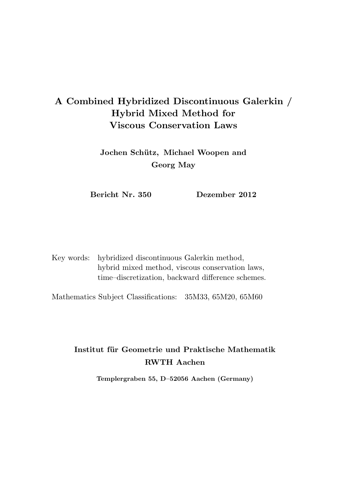# A Combined Hybridized Discontinuous Galerkin / Hybrid Mixed Method for Viscous Conservation Laws

Jochen Schütz, Michael Woopen and Georg May

Bericht Nr. 350 Dezember 2012

Key words: hybridized discontinuous Galerkin method, hybrid mixed method, viscous conservation laws, time–discretization, backward difference schemes.

Mathematics Subject Classifications: 35M33, 65M20, 65M60

## Institut für Geometrie und Praktische Mathematik RWTH Aachen

Templergraben 55, D–52056 Aachen (Germany)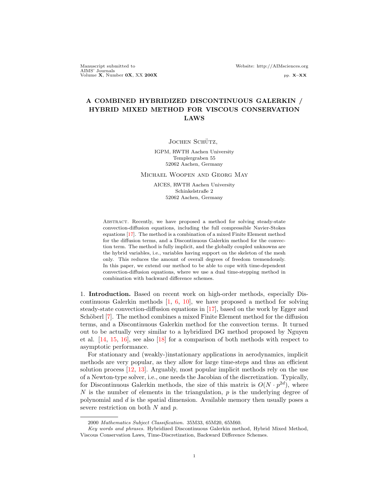Manuscript submitted to Website: http://AIMsciences.org AIMS' Journals Volume X, Number 0X, XX 200X pp. X–XX

## A COMBINED HYBRIDIZED DISCONTINUOUS GALERKIN / HYBRID MIXED METHOD FOR VISCOUS CONSERVATION LAWS

JOCHEN SCHÜTZ,

IGPM, RWTH Aachen University Templergraben 55 52062 Aachen, Germany

Michael Woopen and Georg May

AICES, RWTH Aachen University Schinkelstraße 2 52062 Aachen, Germany

Abstract. Recently, we have proposed a method for solving steady-state convection-diffusion equations, including the full compressible Navier-Stokes equations [\[17\]](#page-8-0). The method is a combination of a mixed Finite Element method for the diffusion terms, and a Discontinuous Galerkin method for the convection term. The method is fully implicit, and the globally coupled unknowns are the hybrid variables, i.e., variables having support on the skeleton of the mesh only. This reduces the amount of overall degrees of freedom tremendously. In this paper, we extend our method to be able to cope with time-dependent convection-diffusion equations, where we use a dual time-stepping method in combination with backward difference schemes.

1. Introduction. Based on recent work on high-order methods, especially Discontinuous Galerkin methods  $\begin{bmatrix} 1, 6, 10 \end{bmatrix}$  $\begin{bmatrix} 1, 6, 10 \end{bmatrix}$  $\begin{bmatrix} 1, 6, 10 \end{bmatrix}$ , we have proposed a method for solving steady-state convection-diffusion equations in [\[17\]](#page-8-0), based on the work by Egger and Schöberl [\[7\]](#page-8-3). The method combines a mixed Finite Element method for the diffusion terms, and a Discontinuous Galerkin method for the convection terms. It turned out to be actually very similar to a hybridized DG method proposed by Nguyen et al. [\[14,](#page-8-4) [15,](#page-8-5) [16\]](#page-8-6), see also [\[18\]](#page-8-7) for a comparison of both methods with respect to asymptotic performance.

For stationary and (weakly-)instationary applications in aerodynamics, implicit methods are very popular, as they allow for large time-steps and thus an efficient solution process [\[12,](#page-8-8) [13\]](#page-8-9). Arguably, most popular implicit methods rely on the use of a Newton-type solver, i.e., one needs the Jacobian of the discretization. Typically, for Discontinuous Galerkin methods, the size of this matrix is  $O(N \cdot p^{2d})$ , where N is the number of elements in the triangulation,  $p$  is the underlying degree of polynomial and  $d$  is the spatial dimension. Available memory then usually poses a severe restriction on both  $N$  and  $p$ .

<sup>2000</sup> Mathematics Subject Classification. 35M33, 65M20, 65M60.

Key words and phrases. Hybridized Discontinuous Galerkin method, Hybrid Mixed Method, Viscous Conservation Laws, Time-Discretization, Backward Difference Schemes.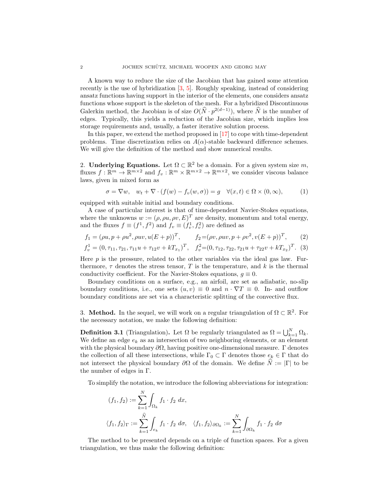A known way to reduce the size of the Jacobian that has gained some attention recently is the use of hybridization [\[3,](#page-7-1) [5\]](#page-8-10). Roughly speaking, instead of considering ansatz functions having support in the interior of the elements, one considers ansatz functions whose support is the skeleton of the mesh. For a hybridized Discontinuous Galerkin method, the Jacobian is of size  $O(\hat{N} \cdot p^{2(d-1)})$ , where  $\hat{N}$  is the number of edges. Typically, this yields a reduction of the Jacobian size, which implies less storage requirements and, usually, a faster iterative solution process.

In this paper, we extend the method proposed in [\[17\]](#page-8-0) to cope with time-dependent problems. Time discretization relies on  $A(\alpha)$ -stable backward difference schemes. We will give the definition of the method and show numerical results.

2. **Underlying Equations.** Let  $\Omega \subset \mathbb{R}^2$  be a domain. For a given system size m, fluxes  $f: \mathbb{R}^m \to \mathbb{R}^{m \times 2}$  and  $f_v: \mathbb{R}^m \times \mathbb{R}^{m \times 2} \to \mathbb{R}^{m \times 2}$ , we consider viscous balance laws, given in mixed form as

<span id="page-2-0"></span>
$$
\sigma = \nabla w, \quad w_t + \nabla \cdot (f(w) - f_v(w, \sigma)) = g \quad \forall (x, t) \in \Omega \times (0, \infty), \tag{1}
$$

equipped with suitable initial and boundary conditions.

A case of particular interest is that of time-dependent Navier-Stokes equations, where the unknowns  $w := (\rho, \rho u, \rho v, E)^T$  are density, momentum and total energy, and the fluxes  $f \equiv (f^1, f^2)$  and  $f_v \equiv (f_v^1, f_v^2)$  are defined as

$$
f_1 = (\rho u, p + \rho u^2, \rho u v, u(E + p))^T, \qquad f_2 = (\rho v, \rho u v, p + \rho v^2, v(E + p))^T,
$$
 (2)

$$
f_v^1 = (0, \tau_{11}, \tau_{21}, \tau_{11}u + \tau_{12}v + kT_{x_1})^T, \quad f_v^2 = (0, \tau_{12}, \tau_{22}, \tau_{21}u + \tau_{22}v + kT_{x_2})^T.
$$
 (3)

Here  $p$  is the pressure, related to the other variables via the ideal gas law. Furthermore,  $\tau$  denotes the stress tensor, T is the temperature, and k is the thermal conductivity coefficient. For the Navier-Stokes equations,  $g \equiv 0$ .

Boundary conditions on a surface, e.g., an airfoil, are set as adiabatic, no-slip boundary conditions, i.e., one sets  $(u, v) \equiv 0$  and  $n \cdot \nabla T \equiv 0$ . In- and outflow boundary conditions are set via a characteristic splitting of the convective flux.

3. Method. In the sequel, we will work on a regular triangulation of  $\Omega \subset \mathbb{R}^2$ . For the necessary notation, we make the following definition:

**Definition 3.1** (Triangulation). Let  $\Omega$  be regularly triangulated as  $\Omega = \bigcup_{k=1}^{N} \Omega_k$ . We define an edge  $e_k$  as an intersection of two neighboring elements, or an element with the physical boundary  $\partial\Omega$ , having positive one-dimensional measure.  $\Gamma$  denotes the collection of all these intersections, while  $\Gamma_0 \subset \Gamma$  denotes those  $e_k \in \Gamma$  that do not intersect the physical boundary  $\partial\Omega$  of the domain. We define  $\hat{N} := |\Gamma|$  to be the number of edges in Γ.

To simplify the notation, we introduce the following abbreviations for integration:

$$
(f_1, f_2) := \sum_{k=1}^N \int_{\Omega_k} f_1 \cdot f_2 \, dx,
$$
  

$$
\langle f_1, f_2 \rangle_{\Gamma} := \sum_{k=1}^{\widehat{N}} \int_{e_k} f_1 \cdot f_2 \, d\sigma, \quad \langle f_1, f_2 \rangle_{\partial \Omega_k} := \sum_{k=1}^N \int_{\partial \Omega_k} f_1 \cdot f_2 \, d\sigma
$$

The method to be presented depends on a triple of function spaces. For a given triangulation, we thus make the following definition: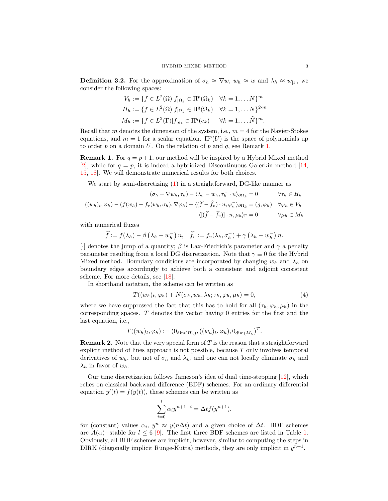**Definition 3.2.** For the approximation of  $\sigma_h \approx \nabla w$ ,  $w_h \approx w$  and  $\lambda_h \approx w_{\vert \Gamma}$ , we consider the following spaces:

$$
V_h := \{ f \in L^2(\Omega) | f_{|\Omega_k} \in \Pi^p(\Omega_k) \quad \forall k = 1, \dots N \}^m
$$
  
\n
$$
H_h := \{ f \in L^2(\Omega) | f_{|\Omega_k} \in \Pi^q(\Omega_k) \quad \forall k = 1, \dots N \}^{2 \cdot m}
$$
  
\n
$$
M_h := \{ f \in L^2(\Gamma) | f_{|e_k} \in \Pi^q(e_k) \quad \forall k = 1, \dots \widehat{N} \}^m.
$$

Recall that m denotes the dimension of the system, i.e.,  $m = 4$  for the Navier-Stokes equations, and  $m = 1$  for a scalar equation.  $\Pi^p(U)$  is the space of polynomials up to order  $p$  on a domain  $U$ . On the relation of  $p$  and  $q$ , see Remark [1.](#page-3-0)

<span id="page-3-0"></span>**Remark 1.** For  $q = p + 1$ , our method will be inspired by a Hybrid Mixed method [\[2\]](#page-7-2), while for  $q = p$ , it is indeed a hybridized Discontinuous Galerkin method [\[14,](#page-8-4) [15,](#page-8-5) [18\]](#page-8-7). We will demonstrate numerical results for both choices.

We start by semi-discretizing  $(1)$  in a straightforward, DG-like manner as

$$
(\sigma_h - \nabla w_h, \tau_h) - \langle \lambda_h - w_h, \tau_h^- \cdot n \rangle_{\partial \Omega_k} = 0 \qquad \forall \tau_h \in H_h
$$
  

$$
((w_h)_t, \varphi_h) - (f(w_h) - f_v(w_h, \sigma_h), \nabla \varphi_h) + \langle (\hat{f} - \hat{f}_v) \cdot n, \varphi_h^- \rangle_{\partial \Omega_k} = (g, \varphi_h) \quad \forall \varphi_h \in V_h
$$
  

$$
\langle [(\hat{f} - \hat{f}_v)] \cdot n, \mu_h \rangle_{\Gamma} = 0 \qquad \forall \mu_h \in M_h
$$

with numerical fluxes

$$
\widehat{f} := f(\lambda_h) - \beta \left( \lambda_h - w_h^{-} \right) n, \quad \widehat{f}_v := f_v(\lambda_h, \sigma_h^{-}) + \gamma \left( \lambda_h - w_h^{-} \right) n.
$$

[·] denotes the jump of a quantity;  $\beta$  is Lax-Friedrich's parameter and  $\gamma$  a penalty parameter resulting from a local DG discretization. Note that  $\gamma \equiv 0$  for the Hybrid Mixed method. Boundary conditions are incorporated by changing  $w_h$  and  $\lambda_h$  on boundary edges accordingly to achieve both a consistent and adjoint consistent scheme. For more details, see [\[18\]](#page-8-7).

In shorthand notation, the scheme can be written as

<span id="page-3-1"></span>
$$
T((w_h)_t, \varphi_h) + N(\sigma_h, w_h, \lambda_h; \tau_h, \varphi_h, \mu_h) = 0,
$$
\n<sup>(4)</sup>

where we have suppressed the fact that this has to hold for all  $(\tau_h, \varphi_h, \mu_h)$  in the corresponding spaces. T denotes the vector having 0 entries for the first and the last equation, i.e.,

$$
T((w_h)_t, \varphi_h) := (0_{\dim(H_h)}, ((w_h)_t, \varphi_h), 0_{\dim(M_h)})^T.
$$

**Remark 2.** Note that the very special form of  $T$  is the reason that a straightforward explicit method of lines approach is not possible, because  $T$  only involves temporal derivatives of  $w_h$ , but not of  $\sigma_h$  and  $\lambda_h$ , and one can not locally eliminate  $\sigma_h$  and  $\lambda_h$  in favor of  $w_h$ .

Our time discretization follows Jameson's idea of dual time-stepping [\[12\]](#page-8-8), which relies on classical backward difference (BDF) schemes. For an ordinary differential equation  $y'(t) = f(y(t))$ , these schemes can be written as

$$
\sum_{i=0}^{l} \alpha_i y^{n+1-i} = \Delta t f(y^{n+1}).
$$

for (constant) values  $\alpha_i, y^n \approx y(n\Delta t)$  and a given choice of  $\Delta t$ . BDF schemes are  $A(\alpha)$ –stable for  $l \leq 6$  [\[9\]](#page-8-11). The first three BDF schemes are listed in Table [1.](#page-4-0) Obviously, all BDF schemes are implicit, however, similar to computing the steps in DIRK (diagonally implicit Runge-Kutta) methods, they are only implicit in  $y^{n+1}$ .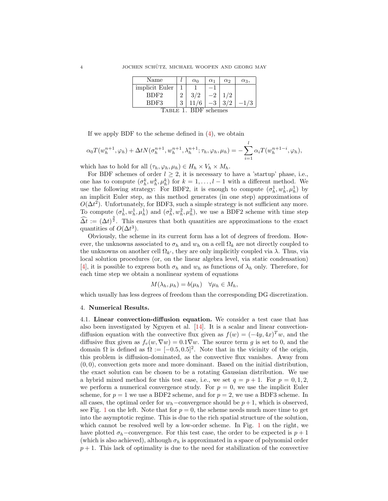<span id="page-4-0"></span>

| Name                 |   | $\alpha_0$ | $\alpha_1$ | $\alpha_2$ | $\alpha_3$ |
|----------------------|---|------------|------------|------------|------------|
| implicit Euler       |   |            |            |            |            |
| BDF <sub>2</sub>     |   | 3/2        |            | 1/2        |            |
| BDF3                 | 3 |            | $-3$       | 3/2        | $-1/3$     |
| TABLE 1. BDF schemes |   |            |            |            |            |

If we apply BDF to the scheme defined in [\(4\)](#page-3-1), we obtain

$$
\alpha_0 T(w_h^{n+1}, \varphi_h) + \Delta t N(\sigma_h^{n+1}, w_h^{n+1}, \lambda_h^{n+1}; \tau_h, \varphi_h, \mu_h) = -\sum_{i=1}^l \alpha_i T(w_h^{n+1-i}, \varphi_h),
$$

which has to hold for all  $(\tau_h, \varphi_h, \mu_h) \in H_h \times V_h \times M_h$ .

For BDF schemes of order  $l \geq 2$ , it is necessary to have a 'startup' phase, i.e., one has to compute  $(\sigma_h^k, w_h^k, \mu_h^k)$  for  $k = 1, \ldots, l-1$  with a different method. We use the following strategy: For BDF2, it is enough to compute  $(\sigma_h^1, w_h^1, \mu_h^1)$  by an implicit Euler step, as this method generates (in one step) approximations of  $O(\Delta t^2)$ . Unfortunately, for BDF3, such a simple strategy is not sufficient any more. To compute  $(\sigma_h^1, w_h^1, \mu_h^1)$  and  $(\sigma_h^2, w_h^2, \mu_h^2)$ , we use a BDF2 scheme with time step  $\widehat{\Delta t} := (\Delta t)^{\frac{3}{2}}$ . This ensures that both quantities are approximations to the exact quantities of  $O(\Delta t^3)$ .

Obviously, the scheme in its current form has a lot of degrees of freedom. However, the unknowns associated to  $\sigma_h$  and  $w_h$  on a cell  $\Omega_k$  are not directly coupled to the unknowns on another cell  $\Omega_{k'}$ , they are only implicitly coupled via  $\lambda$ . Thus, via local solution procedures (or, on the linear algebra level, via static condensation) [\[4\]](#page-7-3), it is possible to express both  $\sigma_h$  and  $w_h$  as functions of  $\lambda_h$  only. Therefore, for each time step we obtain a nonlinear system of equations

$$
M(\lambda_h, \mu_h) = b(\mu_h) \quad \forall \mu_h \in M_h,
$$

which usually has less degrees of freedom than the corresponding DG discretization.

#### 4. Numerical Results.

<span id="page-4-1"></span>4.1. Linear convection-diffusion equation. We consider a test case that has also been investigated by Nguyen et al.  $[14]$ . It is a scalar and linear convectiondiffusion equation with the convective flux given as  $f(w) = (-4y, 4x)^T w$ , and the diffusive flux given as  $f_v(w, \nabla w) = 0.1 \nabla w$ . The source term q is set to 0, and the domain  $\Omega$  is defined as  $\Omega := [-0.5, 0.5]^2$ . Note that in the vicinity of the origin, this problem is diffusion-dominated, as the convective flux vanishes. Away from  $(0, 0)$ , convection gets more and more dominant. Based on the initial distribution, the exact solution can be chosen to be a rotating Gaussian distribution. We use a hybrid mixed method for this test case, i.e., we set  $q = p + 1$ . For  $p = 0, 1, 2$ , we perform a numerical convergence study. For  $p = 0$ , we use the implicit Euler scheme, for  $p = 1$  we use a BDF2 scheme, and for  $p = 2$ , we use a BDF3 scheme. In all cases, the optimal order for  $w_h$ –convergence should be  $p+1$ , which is observed, see Fig. [1](#page-5-0) on the left. Note that for  $p = 0$ , the scheme needs much more time to get into the asymptotic regime. This is due to the rich spatial structure of the solution, which cannot be resolved well by a low-order scheme. In Fig. [1](#page-5-0) on the right, we have plotted  $\sigma_h$ –convergence. For this test case, the order to be expected is  $p + 1$ (which is also achieved), although  $\sigma_h$  is approximated in a space of polynomial order  $p + 1$ . This lack of optimality is due to the need for stabilization of the convective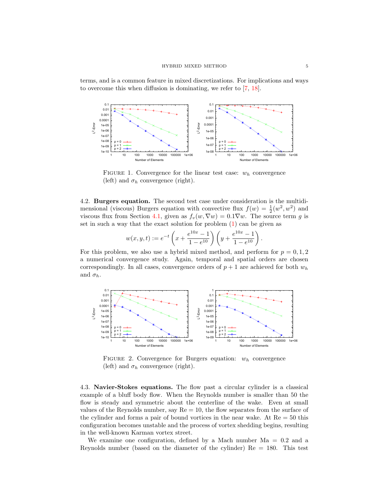terms, and is a common feature in mixed discretizations. For implications and ways to overcome this when diffusion is dominating, we refer to [\[7,](#page-8-3) [18\]](#page-8-7).



<span id="page-5-0"></span>FIGURE 1. Convergence for the linear test case:  $w_h$  convergence (left) and  $\sigma_h$  convergence (right).

4.2. Burgers equation. The second test case under consideration is the multidimensional (viscous) Burgers equation with convective flux  $f(w) = \frac{1}{2}(w^2, w^2)$  and viscous flux from Section [4.1,](#page-4-1) given as  $f_v(w, \nabla w) = 0.1 \nabla w$ . The source term g is set in such a way that the exact solution for problem  $(1)$  can be given as

$$
w(x, y, t) := e^{-t} \left( x + \frac{e^{10x} - 1}{1 - e^{10}} \right) \left( y + \frac{e^{10x} - 1}{1 - e^{10}} \right).
$$

For this problem, we also use a hybrid mixed method, and perform for  $p = 0, 1, 2$ a numerical convergence study. Again, temporal and spatial orders are chosen correspondingly. In all cases, convergence orders of  $p + 1$  are achieved for both  $w_h$ and  $\sigma_h$ .



FIGURE 2. Convergence for Burgers equation:  $w_h$  convergence (left) and  $\sigma_h$  convergence (right).

4.3. Navier-Stokes equations. The flow past a circular cylinder is a classical example of a bluff body flow. When the Reynolds number is smaller than 50 the flow is steady and symmetric about the centerline of the wake. Even at small values of the Reynolds number, say  $Re = 10$ , the flow separates from the surface of the cylinder and forms a pair of bound vortices in the near wake. At  $Re = 50$  this configuration becomes unstable and the process of vortex shedding begins, resulting in the well-known Karman vortex street.

We examine one configuration, defined by a Mach number  $Ma = 0.2$  and a Reynolds number (based on the diameter of the cylinder) Re = 180. This test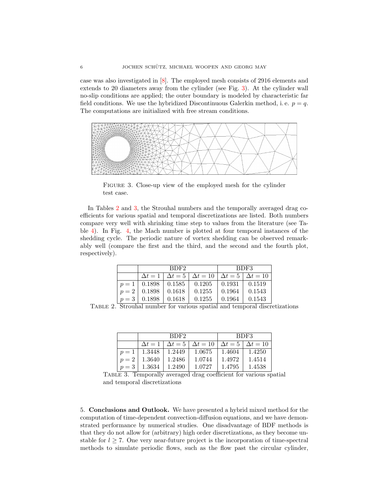case was also investigated in [\[8\]](#page-8-12). The employed mesh consists of 2916 elements and extends to 20 diameters away from the cylinder (see Fig. [3\)](#page-6-0). At the cylinder wall no-slip conditions are applied; the outer boundary is modeled by characteristic far field conditions. We use the hybridized Discontinuous Galerkin method, i.e.  $p = q$ . The computations are initialized with free stream conditions.



<span id="page-6-0"></span>FIGURE 3. Close-up view of the employed mesh for the cylinder test case.

In Tables [2](#page-6-1) and [3,](#page-6-2) the Strouhal numbers and the temporally averaged drag coefficients for various spatial and temporal discretizations are listed. Both numbers compare very well with shrinking time step to values from the literature (see Table [4\)](#page-7-4). In Fig. [4,](#page-7-5) the Mach number is plotted at four temporal instances of the shedding cycle. The periodic nature of vortex shedding can be observed remarkably well (compare the first and the third, and the second and the fourth plot, respectively).

|                                 | BDF2 |                                                                              | BDF3          |        |  |
|---------------------------------|------|------------------------------------------------------------------------------|---------------|--------|--|
|                                 |      | $\Delta t = 1   \Delta t = 5   \Delta t = 10   \Delta t = 5   \Delta t = 10$ |               |        |  |
| $p=1$   0.1898   0.1585         |      | 0.1205                                                                       | $\mid$ 0.1931 | 0.1519 |  |
| $p = 2 \mid 0.1898 \mid 0.1618$ |      | 0.1255                                                                       | 0.1964        | 0.1543 |  |
| $p = 3 \mid 0.1898 \mid 0.1618$ |      | 0.1255                                                                       | $\pm 0.1964$  | 0.1543 |  |

<span id="page-6-1"></span>Table 2. Strouhal number for various spatial and temporal discretizations

|       |                | BDF2           |                 |                | BDF3            |  |  |
|-------|----------------|----------------|-----------------|----------------|-----------------|--|--|
|       | $\Delta t = 1$ | $\Delta t = 5$ | $\Delta t = 10$ | $\Delta t = 5$ | $\Delta t = 10$ |  |  |
| $p=1$ | 1.3448         | 1.2449         | 1.0675          | 1.4604         | 1.4250          |  |  |
| $p=2$ | 1.3640         | 1.2486         | 1.0744          | 1.4972         | 1.4514          |  |  |
| $p=3$ | 1.3634         | 1.2490         | 1.0727          | 1.4795         | 1.4538          |  |  |

<span id="page-6-2"></span>Table 3. Temporally averaged drag coefficient for various spatial and temporal discretizations

5. Conclusions and Outlook. We have presented a hybrid mixed method for the computation of time-dependent convection-diffusion equations, and we have demonstrated performance by numerical studies. One disadvantage of BDF methods is that they do not allow for (arbitrary) high order discretizations, as they become unstable for  $l \geq 7$ . One very near-future project is the incorporation of time-spectral methods to simulate periodic flows, such as the flow past the circular cylinder,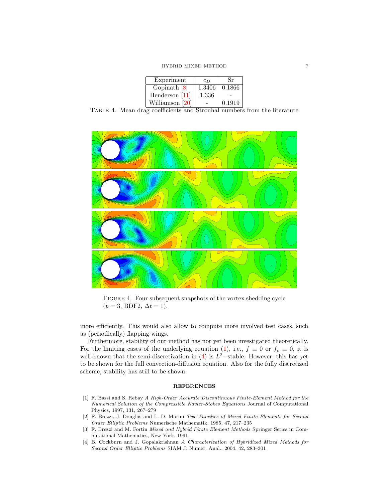HYBRID MIXED METHOD 7

| Experiment       | $c_D$  | Sr     |
|------------------|--------|--------|
| Gopinath $[8]$   | 1.3406 | 0.1866 |
| Henderson $[11]$ | 1.336  |        |
| Williamson [20]  |        | 0.1919 |
|                  |        |        |

<span id="page-7-4"></span>Table 4. Mean drag coefficients and Strouhal numbers from the literature



<span id="page-7-5"></span>Figure 4. Four subsequent snapshots of the vortex shedding cycle  $(p = 3, BDF2, \Delta t = 1).$ 

more efficiently. This would also allow to compute more involved test cases, such as (periodically) flapping wings.

Furthermore, stability of our method has not yet been investigated theoretically. For the limiting cases of the underlying equation [\(1\)](#page-2-0), i.e.,  $f \equiv 0$  or  $f_v \equiv 0$ , it is well-known that the semi-discretization in  $(4)$  is  $L^2$ -stable. However, this has yet to be shown for the full convection-diffusion equation. Also for the fully discretized scheme, stability has still to be shown.

### **REFERENCES**

- <span id="page-7-0"></span>[1] F. Bassi and S. Rebay A High-Order Accurate Discontinuous Finite-Element Method for the Numerical Solution of the Compressible Navier-Stokes Equations Journal of Computational Physics, 1997, 131, 267–279
- <span id="page-7-2"></span>[2] F. Brezzi, J. Douglas and L. D. Marini Two Families of Mixed Finite Elements for Second Order Elliptic Problems Numerische Mathematik, 1985, 47, 217–235
- <span id="page-7-1"></span>[3] F. Brezzi and M. Fortin Mixed and Hybrid Finite Element Methods Springer Series in Computational Mathematics, New York, 1991
- <span id="page-7-3"></span>[4] B. Cockburn and J. Gopalakrishnan A Characterization of Hybridized Mixed Methods for Second Order Elliptic Problems SIAM J. Numer. Anal., 2004, 42, 283–301